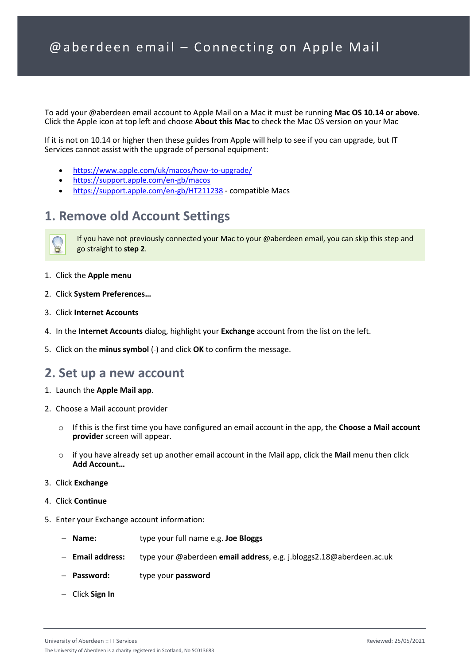To add your @aberdeen email account to Apple Mail on a Mac it must be running **Mac OS 10.14 or above**. Click the Apple icon at top left and choose **About this Mac** to check the Mac OS version on your Mac

If it is not on 10.14 or higher then these guides from Apple will help to see if you can upgrade, but IT Services cannot assist with the upgrade of personal equipment:

- <https://www.apple.com/uk/macos/how-to-upgrade/>
- <https://support.apple.com/en-gb/macos>
- <https://support.apple.com/en-gb/HT211238> compatible Macs

## **1. Remove old Account Settings**



If you have not previously connected your Mac to your @aberdeen email, you can skip this step and go straight to **step 2**.

- 1. Click the **Apple menu**
- 2. Click **System Preferences…**
- 3. Click **Internet Accounts**
- 4. In the **Internet Accounts** dialog, highlight your **Exchange** account from the list on the left.
- 5. Click on the **minus symbol** (-) and click **OK** to confirm the message.

## **2. Set up a new account**

- 1. Launch the **Apple Mail app**.
- 2. Choose a Mail account provider
	- o If this is the first time you have configured an email account in the app, the **Choose a Mail account provider** screen will appear.
	- o if you have already set up another email account in the Mail app, click the **Mail** menu then click **Add Account…**
- 3. Click **Exchange**
- 4. Click **Continue**
- 5. Enter your Exchange account information:
	- − **Name:** type your full name e.g. **Joe Bloggs**
	- − **Email address:** type your @aberdeen **email address**, e.g. j.bloggs2.18@aberdeen.ac.uk
	- − **Password:** type your **password**
	- − Click **Sign In**